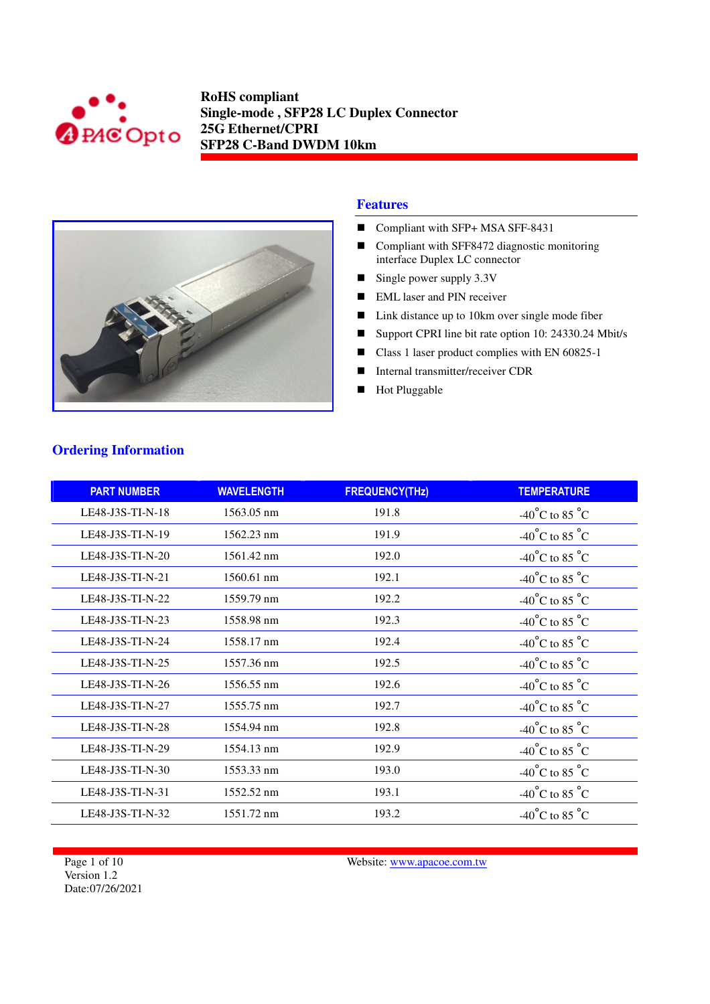



#### **Features**

- Compliant with SFP+ MSA SFF-8431
- Compliant with SFF8472 diagnostic monitoring interface Duplex LC connector
- Single power supply 3.3V
- **EML** laser and PIN receiver
- Link distance up to 10km over single mode fiber
- Support CPRI line bit rate option 10: 24330.24 Mbit/s
- Class 1 laser product complies with EN 60825-1
- Internal transmitter/receiver CDR
- **Hot Pluggable**

| <b>PART NUMBER</b> | <b>WAVELENGTH</b>    | <b>FREQUENCY(THz)</b> | <b>TEMPERATURE</b>                 |
|--------------------|----------------------|-----------------------|------------------------------------|
| LE48-J3S-TI-N-18   | 1563.05 nm           | 191.8                 | $-40^{\circ}$ C to 85 $^{\circ}$ C |
| LE48-J3S-TI-N-19   | $1562.23 \text{ nm}$ | 191.9                 | $-40^{\circ}$ C to 85 $^{\circ}$ C |
| LE48-J3S-TI-N-20   | 1561.42 nm           | 192.0                 | -40°C to 85 $^{\circ}$ C           |
| LE48-J3S-TI-N-21   | 1560.61 nm           | 192.1                 | $-40^{\circ}$ C to 85 $^{\circ}$ C |
| LE48-J3S-TI-N-22   | 1559.79 nm           | 192.2                 | $-40^{\circ}$ C to 85 $^{\circ}$ C |
| LE48-J3S-TI-N-23   | 1558.98 nm           | 192.3                 | -40°C to 85 $^{\circ}$ C           |
| LE48-J3S-TI-N-24   | 1558.17 nm           | 192.4                 | $-40^{\circ}$ C to 85 $^{\circ}$ C |
| LE48-J3S-TI-N-25   | 1557.36 nm           | 192.5                 | $-40^{\circ}$ C to 85 $^{\circ}$ C |
| LE48-J3S-TI-N-26   | 1556.55 nm           | 192.6                 | -40°C to 85 °C                     |
| LE48-J3S-TI-N-27   | 1555.75 nm           | 192.7                 | -40°C to 85 $^{\circ}$ C           |
| LE48-J3S-TI-N-28   | 1554.94 nm           | 192.8                 | -40°C to 85 $^{\circ}$ C           |
| LE48-J3S-TI-N-29   | 1554.13 nm           | 192.9                 | -40°C to 85 °C                     |
| LE48-J3S-TI-N-30   | 1553.33 nm           | 193.0                 | $-40^{\circ}$ C to 85 $^{\circ}$ C |
| LE48-J3S-TI-N-31   | 1552.52 nm           | 193.1                 | $-40^{\circ}$ C to 85 $^{\circ}$ C |
| LE48-J3S-TI-N-32   | 1551.72 nm           | 193.2                 | $-40^{\circ}$ C to 85 $^{\circ}$ C |

# **Ordering Information**

Page 1 of 10 Version 1.2 Date:07/26/2021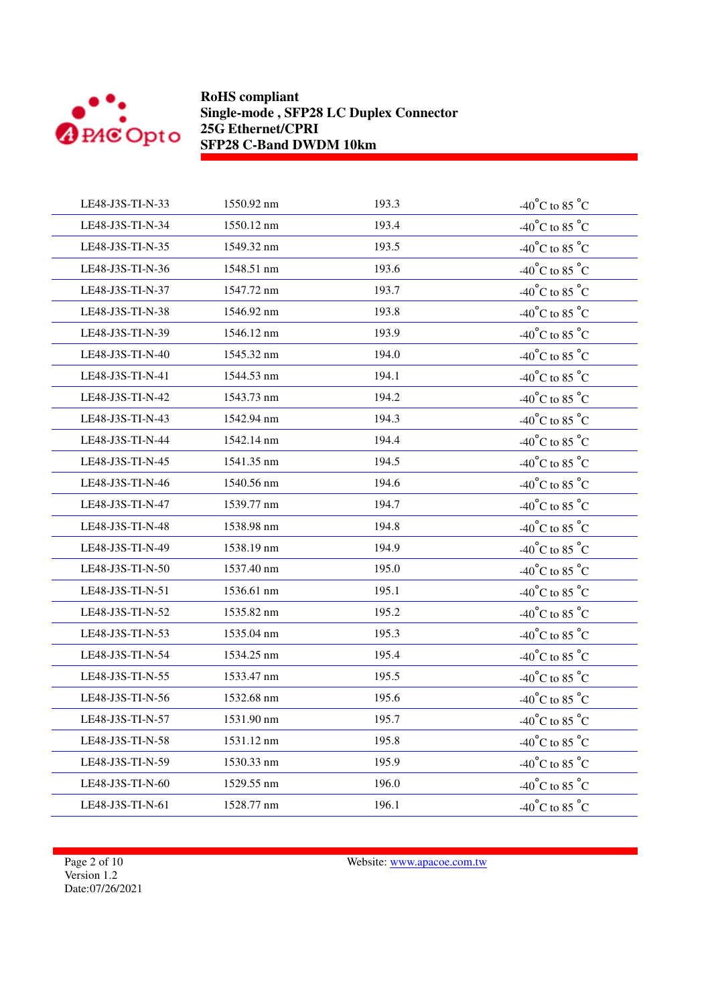

| LE48-J3S-TI-N-33 | 1550.92 nm | 193.3 | -40°C to 85 °C                                        |
|------------------|------------|-------|-------------------------------------------------------|
| LE48-J3S-TI-N-34 | 1550.12 nm | 193.4 | -40°C to 85 °C                                        |
| LE48-J3S-TI-N-35 | 1549.32 nm | 193.5 | -40°C to 85 °C                                        |
| LE48-J3S-TI-N-36 | 1548.51 nm | 193.6 | -40°C to 85 °C                                        |
| LE48-J3S-TI-N-37 | 1547.72 nm | 193.7 | -40°C to 85 $^{\circ}$ C                              |
| LE48-J3S-TI-N-38 | 1546.92 nm | 193.8 | $-40^{\circ}$ C to 85 $^{\circ}$ C                    |
| LE48-J3S-TI-N-39 | 1546.12 nm | 193.9 | -40°C to 85 $^{\circ}$ C                              |
| LE48-J3S-TI-N-40 | 1545.32 nm | 194.0 | -40°C to 85 °C                                        |
| LE48-J3S-TI-N-41 | 1544.53 nm | 194.1 | -40°C to 85 $^{\circ}$ C                              |
| LE48-J3S-TI-N-42 | 1543.73 nm | 194.2 | -40°C to 85 °C                                        |
| LE48-J3S-TI-N-43 | 1542.94 nm | 194.3 | -40°C to 85 $^{\circ}$ C                              |
| LE48-J3S-TI-N-44 | 1542.14 nm | 194.4 | -40°C to 85 $^{\circ}$ C                              |
| LE48-J3S-TI-N-45 | 1541.35 nm | 194.5 | $-40^{\circ}$ C to 85 $^{\circ}$ C                    |
| LE48-J3S-TI-N-46 | 1540.56 nm | 194.6 | -40°C to 85 °C                                        |
| LE48-J3S-TI-N-47 | 1539.77 nm | 194.7 | $-40^{\circ}$ C to 85 $^{\circ}$ C                    |
| LE48-J3S-TI-N-48 | 1538.98 nm | 194.8 | -40°C to 85 °C                                        |
| LE48-J3S-TI-N-49 | 1538.19 nm | 194.9 | -40°C to 85 °C                                        |
| LE48-J3S-TI-N-50 | 1537.40 nm | 195.0 | -40°C to 85 $^{\circ}$ C                              |
| LE48-J3S-TI-N-51 | 1536.61 nm | 195.1 | -40°C to 85 °C                                        |
| LE48-J3S-TI-N-52 | 1535.82 nm | 195.2 | -40°C to 85 $^{\circ}$ C                              |
| LE48-J3S-TI-N-53 | 1535.04 nm | 195.3 | -40 $^{\circ} \mathrm{C}$ to 85 $^{\circ} \mathrm{C}$ |
| LE48-J3S-TI-N-54 | 1534.25 nm | 195.4 | -40°C to 85 °C                                        |
| LE48-J3S-TI-N-55 | 1533.47 nm | 195.5 | -40°C to 85 °C                                        |
| LE48-J3S-TI-N-56 | 1532.68 nm | 195.6 | -40°C to 85 °C                                        |
| LE48-J3S-TI-N-57 | 1531.90 nm | 195.7 | -40°C to 85 °C                                        |
| LE48-J3S-TI-N-58 | 1531.12 nm | 195.8 | -40°C to 85 $^{\circ}$ C                              |
| LE48-J3S-TI-N-59 | 1530.33 nm | 195.9 | $-40^{\circ}$ C to 85 $^{\circ}$ C                    |
| LE48-J3S-TI-N-60 | 1529.55 nm | 196.0 | -40°C to 85 °C                                        |
| LE48-J3S-TI-N-61 | 1528.77 nm | 196.1 | -40°C to 85 °C                                        |
|                  |            |       |                                                       |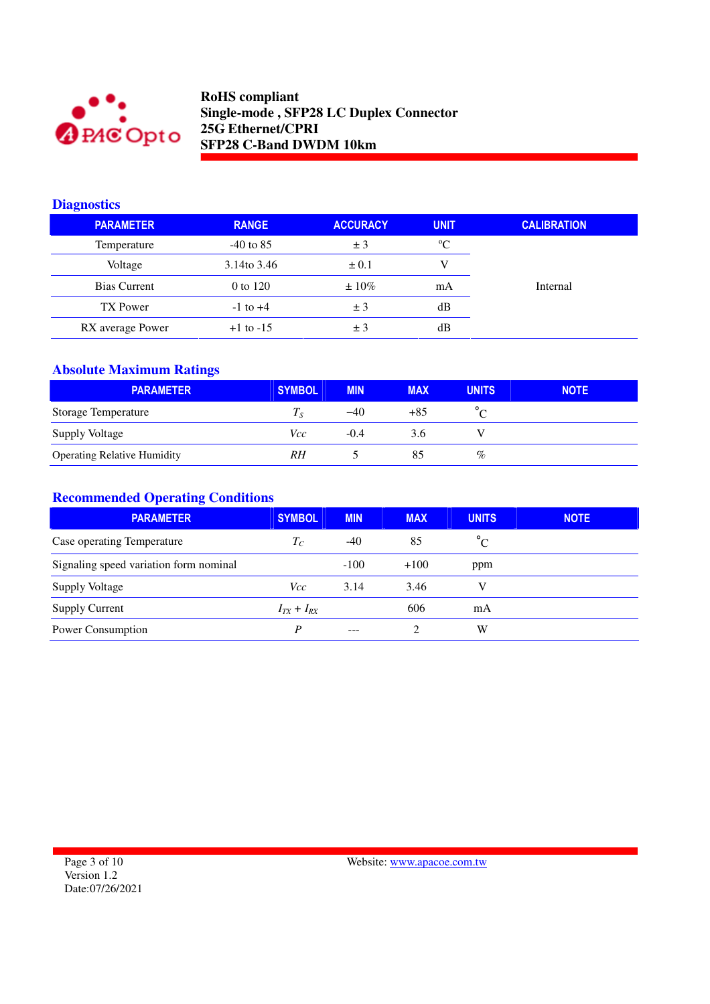

### **Diagnostics**

| <b>PARAMETER</b> | <b>RANGE</b>  | <b>ACCURACY</b> | <b>UNIT</b> | <b>CALIBRATION</b> |
|------------------|---------------|-----------------|-------------|--------------------|
| Temperature      | $-40$ to 85   | ± 3             | $^{\circ}C$ |                    |
| Voltage          | 3.14to 3.46   | $\pm 0.1$       |             |                    |
| Bias Current     | 0 to 120      | $\pm 10\%$      | mA          | Internal           |
| TX Power         | $-1$ to $+4$  | ± 3             | dВ          |                    |
| RX average Power | $+1$ to $-15$ | ± 3             | dВ          |                    |

## **Absolute Maximum Ratings**

| <b>PARAMETER</b>                   | <b>SYMBOL</b>              | <b>MIN</b> | <b>MAX</b> | <b>UNITS</b> | <b>NOTE</b> |
|------------------------------------|----------------------------|------------|------------|--------------|-------------|
| <b>Storage Temperature</b>         | $T_{\scriptscriptstyle S}$ | -40        | +85        |              |             |
| <b>Supply Voltage</b>              | Vcc                        | $-0.4$     | 3.6        |              |             |
| <b>Operating Relative Humidity</b> | RH                         |            | 85         | %            |             |

# **Recommended Operating Conditions**

| <b>PARAMETER</b>                       | <b>SYMBOL</b>     | <b>MIN</b> | <b>MAX</b> | <b>UNITS</b>   | <b>NOTE</b> |
|----------------------------------------|-------------------|------------|------------|----------------|-------------|
| Case operating Temperature             | $T_C$             | $-40$      | 85         | $\overline{C}$ |             |
| Signaling speed variation form nominal |                   | $-100$     | $+100$     | ppm            |             |
| <b>Supply Voltage</b>                  | Vcc               | 3.14       | 3.46       |                |             |
| <b>Supply Current</b>                  | $I_{TX} + I_{RX}$ |            | 606        | mA             |             |
| Power Consumption                      | P                 | $---$      |            | W              |             |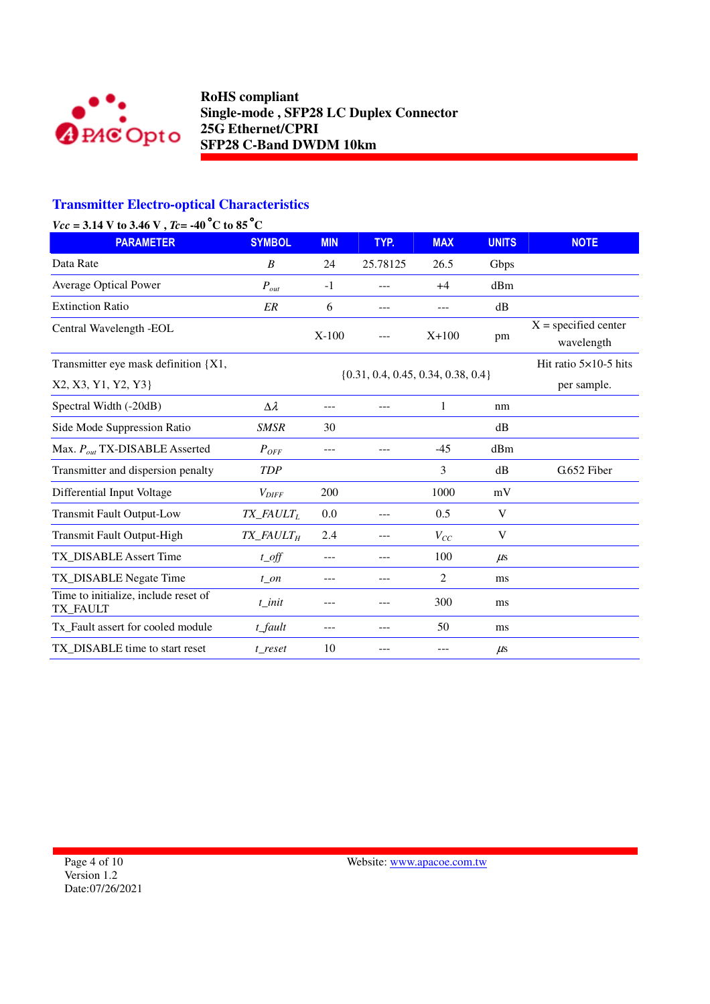

# **Transmitter Electro-optical Characteristics**

## *Vcc* = 3.14 V to 3.46 V , *Tc*= -40 °C to 85 °C

| <b>PARAMETER</b>                                 | <b>SYMBOL</b>                        | <b>MIN</b> | TYP.                                   | <b>MAX</b> | <b>UNITS</b> | <b>NOTE</b>                          |
|--------------------------------------------------|--------------------------------------|------------|----------------------------------------|------------|--------------|--------------------------------------|
| Data Rate                                        | B                                    | 24         | 25.78125                               | 26.5       | Gbps         |                                      |
| <b>Average Optical Power</b>                     | $P_{out}$                            | $-1$       | ---                                    | $+4$       | dBm          |                                      |
| <b>Extinction Ratio</b>                          | ER                                   | 6          | ---                                    |            | dB           |                                      |
| Central Wavelength -EOL                          |                                      | $X-100$    |                                        | $X+100$    | pm           | $X = specified center$<br>wavelength |
| Transmitter eye mask definition {X1,             |                                      |            |                                        |            |              | Hit ratio $5\times10-5$ hits         |
| X2, X3, Y1, Y2, Y3}                              |                                      |            | $\{0.31, 0.4, 0.45, 0.34, 0.38, 0.4\}$ |            |              | per sample.                          |
| Spectral Width (-20dB)                           | $\Delta \lambda$                     |            |                                        | 1          | nm           |                                      |
| Side Mode Suppression Ratio                      | <b>SMSR</b>                          | 30         |                                        |            | dB           |                                      |
| Max. $P_{out}$ TX-DISABLE Asserted               | $P_{OFF}$                            | ---        | ---                                    | $-45$      | dBm          |                                      |
| Transmitter and dispersion penalty               | <b>TDP</b>                           |            |                                        | 3          | dB           | G.652 Fiber                          |
| Differential Input Voltage                       | $V_{\text{DIFF}}$                    | 200        |                                        | 1000       | mV           |                                      |
| <b>Transmit Fault Output-Low</b>                 | TX_FAULTL                            | 0.0        | ---                                    | 0.5        | V            |                                      |
| Transmit Fault Output-High                       | $TX$ <sub>FAULT<math>_H</math></sub> | 2.4        | ---                                    | $V_{CC}$   | V            |                                      |
| TX DISABLE Assert Time                           | $t$ <sub><math>0</math></sub> $ff$   | ---        | ---                                    | 100        | $\mu$ s      |                                      |
| TX_DISABLE Negate Time                           | $t$ on                               |            | ---                                    | 2          | ms           |                                      |
| Time to initialize, include reset of<br>TX FAULT | t init                               | ---        |                                        | 300        | ms           |                                      |
| Tx_Fault assert for cooled module                | t_fault                              | ---        | ---                                    | 50         | ms           |                                      |
| TX DISABLE time to start reset                   | t reset                              | 10         |                                        |            | $\mu$ s      |                                      |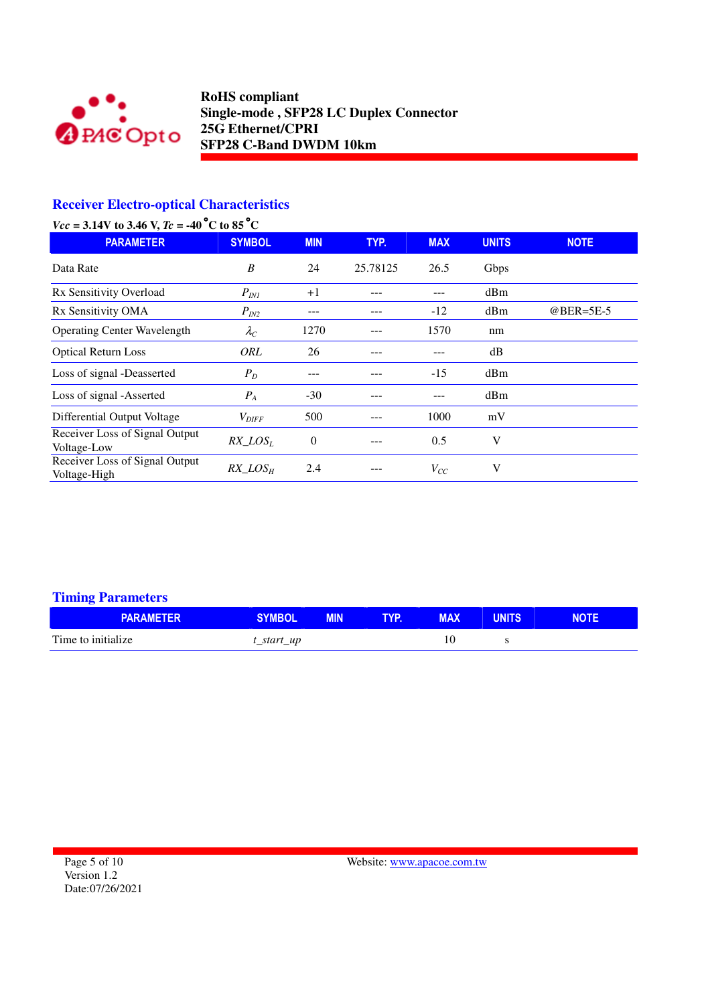

# **Receiver Electro-optical Characteristics**

| $Vcc = 3.14V$ to 3.46 V, $Tc = -40$ °C to 85°C |  |  |  |
|------------------------------------------------|--|--|--|
|                                                |  |  |  |

| <b>PARAMETER</b>                               | <b>SYMBOL</b>     | <b>MIN</b> | TYP.     | <b>MAX</b> | <b>UNITS</b> | <b>NOTE</b> |
|------------------------------------------------|-------------------|------------|----------|------------|--------------|-------------|
| Data Rate                                      | B                 | 24         | 25.78125 | 26.5       | Gbps         |             |
| Rx Sensitivity Overload                        | $P_{INI}$         | $+1$       | ---      |            | dBm          |             |
| Rx Sensitivity OMA                             | $P_{IN2}$         | ---        |          | $-12$      | dBm          | @BER=5E-5   |
| <b>Operating Center Wavelength</b>             | $\lambda_C$       | 1270       |          | 1570       | nm           |             |
| <b>Optical Return Loss</b>                     | ORL               | 26         | --       |            | dB           |             |
| Loss of signal -Deasserted                     | $P_D$             |            |          | $-15$      | dBm          |             |
| Loss of signal -Asserted                       | $P_{A}$           | $-30$      |          |            | dBm          |             |
| Differential Output Voltage                    | $V_{\text{DIFF}}$ | 500        |          | 1000       | mV           |             |
| Receiver Loss of Signal Output<br>Voltage-Low  | $RX\_LOS_L$       | $\Omega$   |          | 0.5        | V            |             |
| Receiver Loss of Signal Output<br>Voltage-High | $RX$ $LOS_H$      | 2.4        |          | $V_{CC}$   | V            |             |

## **Timing Parameters**

| <b>PARAMETER</b>   | <b>SYMBOL</b> | <b>MIN</b> | TYP. | <b>MAX</b> | <b>UNITS</b> | <b>NOTE</b> |
|--------------------|---------------|------------|------|------------|--------------|-------------|
| Time to initialize | t_start_up    |            |      |            |              |             |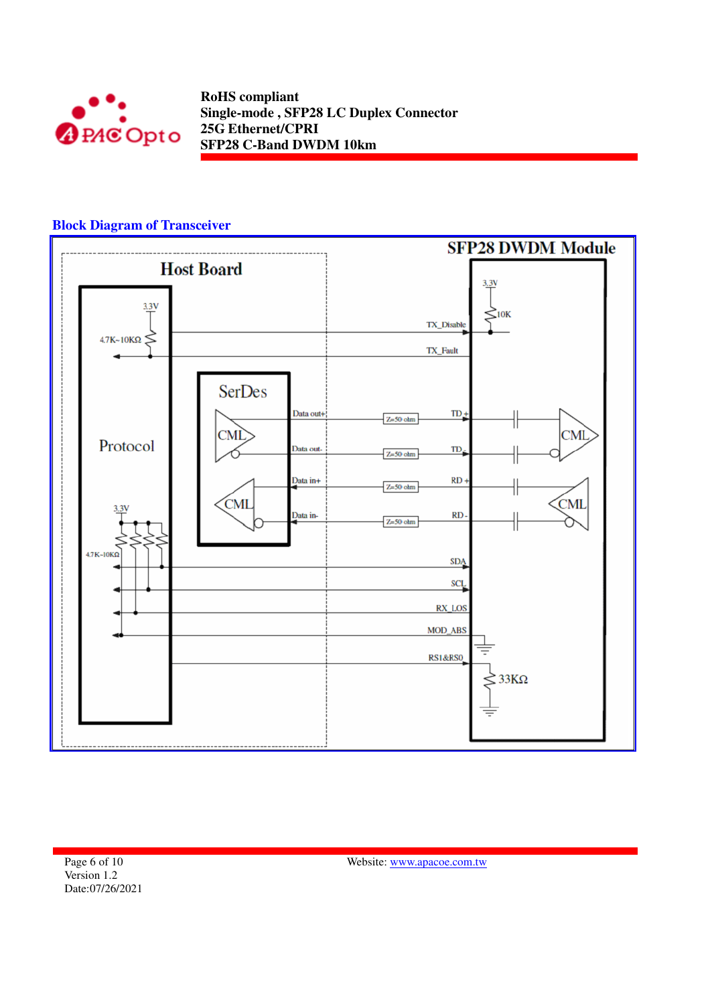

## **Block Diagram of Transceiver**



Page 6 of 10 Version 1.2 Date:07/26/2021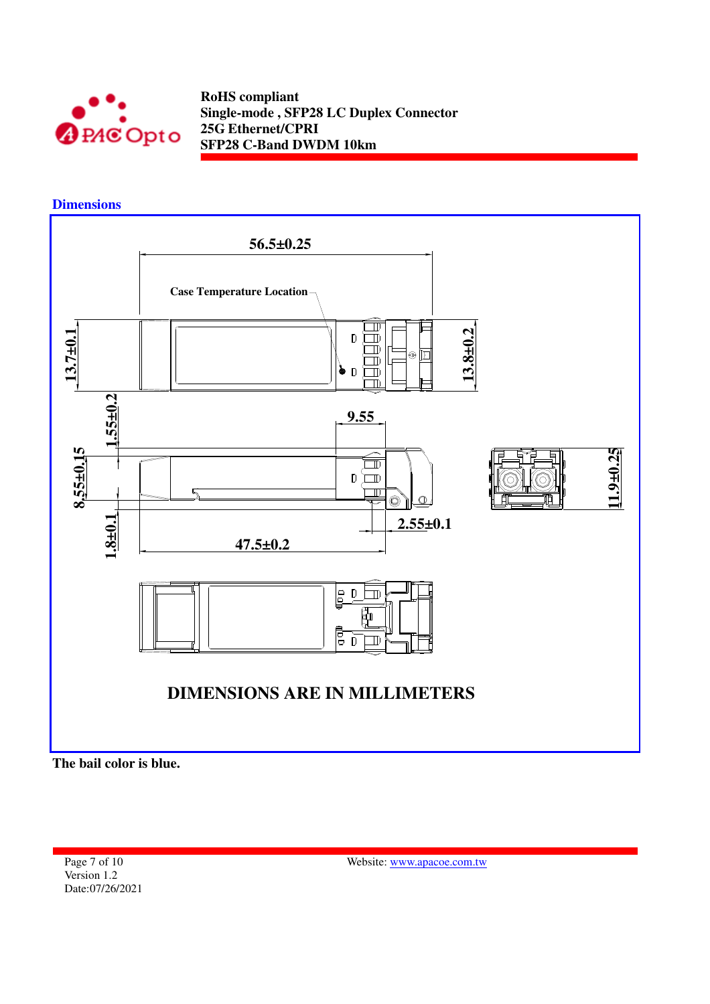

**Dimensions** 



**The bail color is blue.** 

Page 7 of 10 Version 1.2 Date:07/26/2021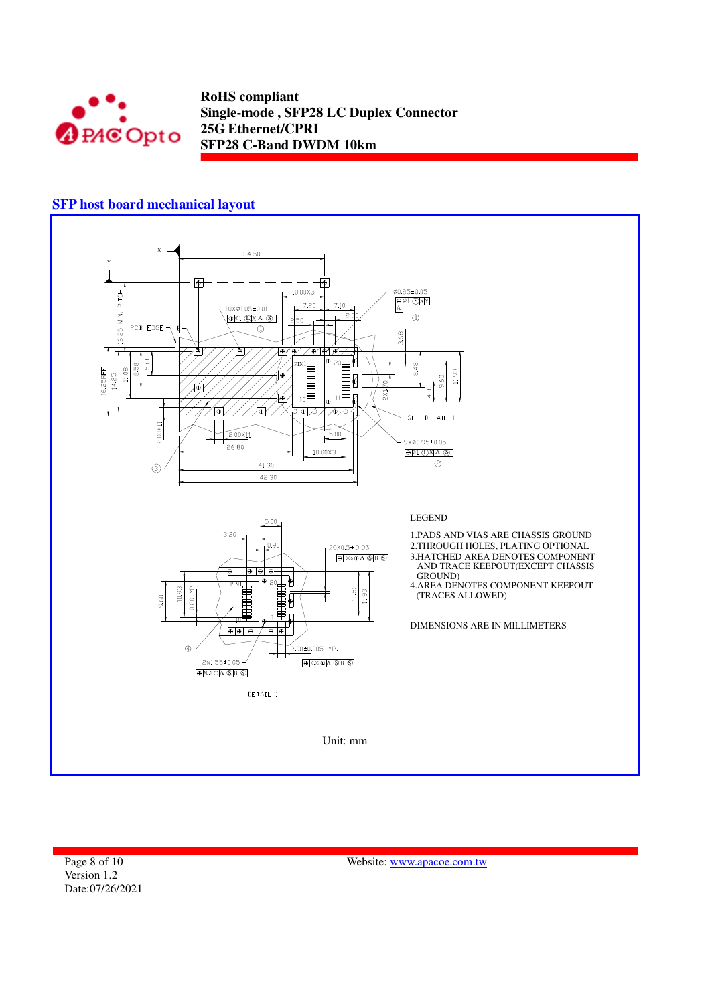

## **SFP host board mechanical layout**



Page 8 of 10 Version 1.2 Date:07/26/2021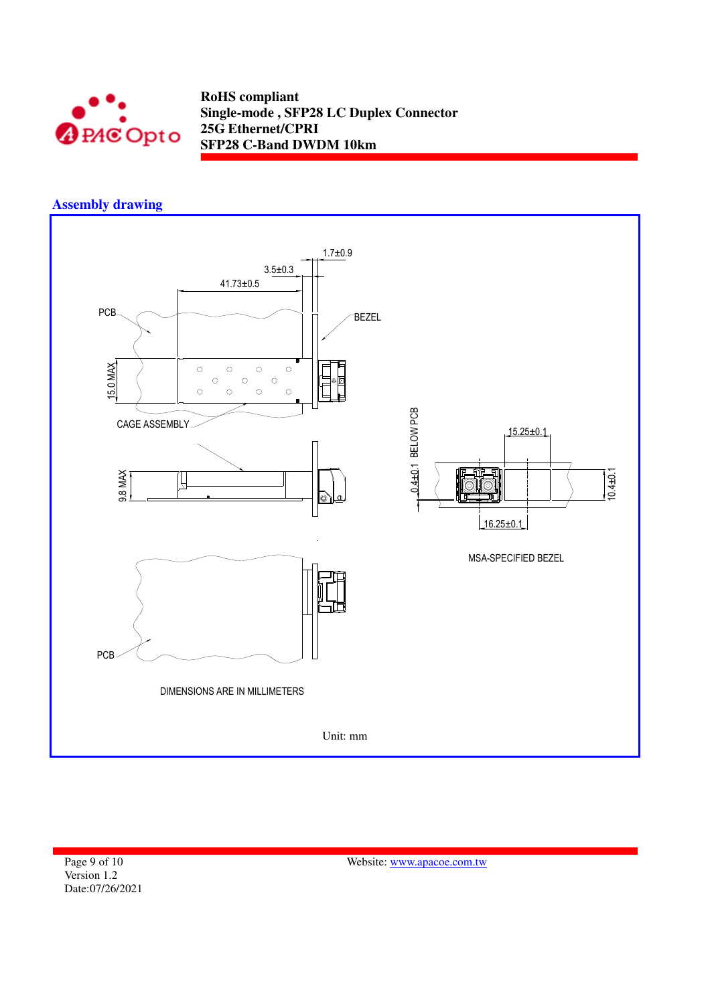

# **Assembly drawing**



Page 9 of 10 Version 1.2 Date:07/26/2021